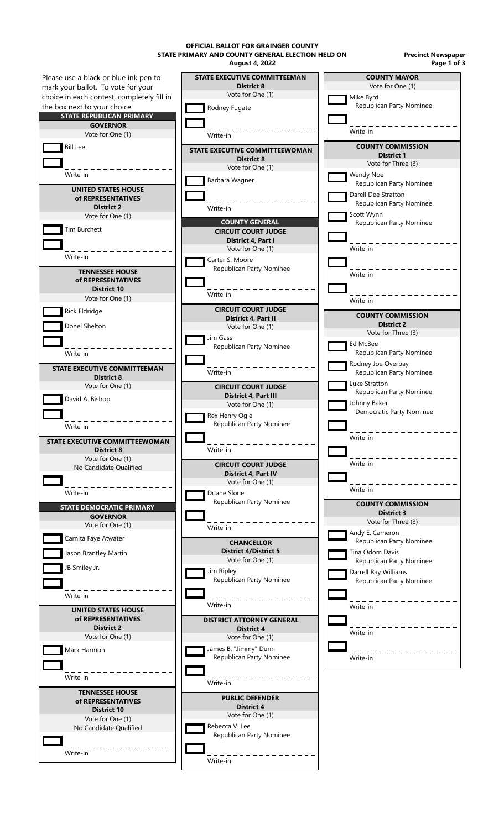**August 4, 2022 OFFICIAL BALLOT FOR GRAINGER COUNTY STATE PRIMARY AND COUNTY GENERAL ELECTION HELD ON**

**Precinct Newspaper Page 1 of 3**

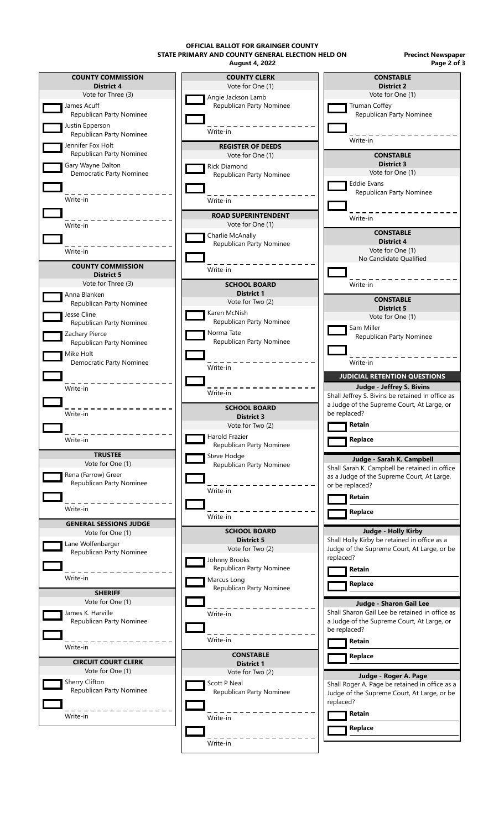**OFFICIAL BALLOT FOR GRAINGER COUNTY STATE PRIMARY AND COUNTY GENERAL ELECTION HELD ON**

**Precinct Newspaper Page 2 of 3**